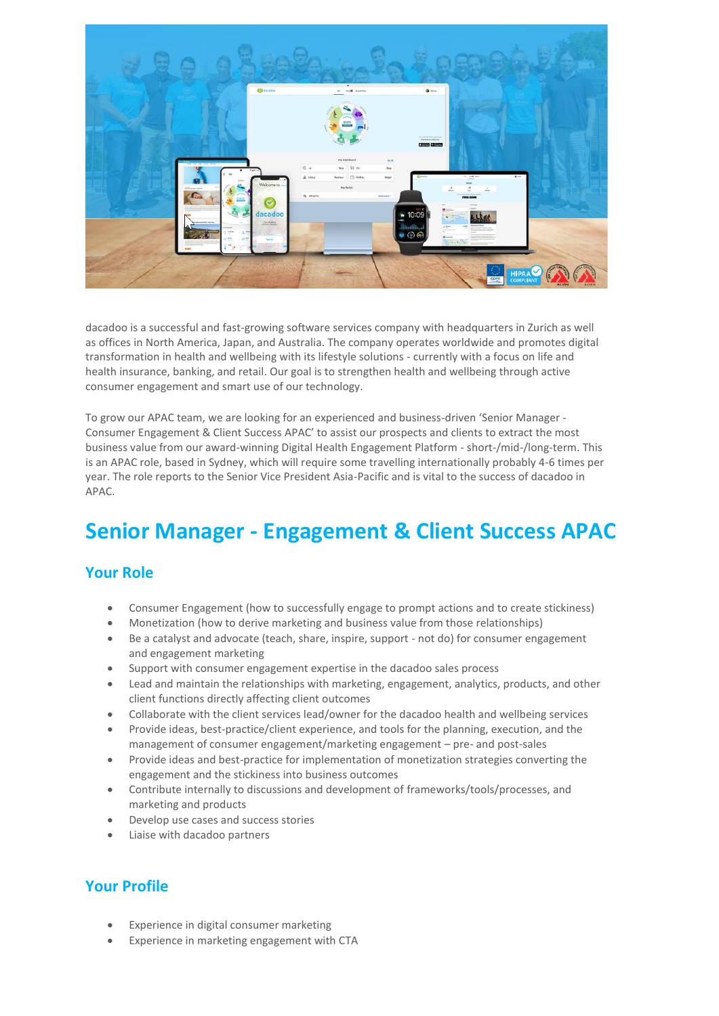

dacadoo is a successful and fast-growing software services company with headquarters in Zurich as well as offices in North America, Japan, and Australia. The company operates worldwide and promotes digital transformation in health and wellbeing with its lifestyle solutions - currently with a focus on life and health insurance, banking, and retail. Our goal is to strengthen health and wellbeing through active consumer engagement and smart use of our technology.

To grow our APAC team, we are looking for an experienced and business-driven 'Senior Manager - Consumer Engagement & Client Success APAC' to assist our prospects and clients to extract the most business value from our award-winning Digital Health Engagement Platform - short-/mid-/long-term. This is an APAC role, based in Sydney, which will require some travelling internationally probably 4-6 times per year. The role reports to the Senior Vice President Asia-Pacific and is vital to the success of dacadoo in APAC.

## **Senior Manager - Engagement & Client Success APAC**

## **Your Role**

- Consumer Engagement (how to successfully engage to prompt actions and to create stickiness)
- Monetization (how to derive marketing and business value from those relationships)
- Be a catalyst and advocate (teach, share, inspire, support not do) for consumer engagement and engagement marketing
- Support with consumer engagement expertise in the dacadoo sales process
- Lead and maintain the relationships with marketing, engagement, analytics, products, and other client functions directly affecting client outcomes
- Collaborate with the client services lead/owner for the dacadoo health and wellbeing services
- Provide ideas, best-practice/client experience, and tools for the planning, execution, and the management of consumer engagement/marketing engagement – pre- and post-sales
- Provide ideas and best-practice for implementation of monetization strategies converting the engagement and the stickiness into business outcomes
- Contribute internally to discussions and development of frameworks/tools/processes, and marketing and products
- Develop use cases and success stories
- Liaise with dacadoo partners

## **Your Profile**

- Experience in digital consumer marketing
- Experience in marketing engagement with CTA